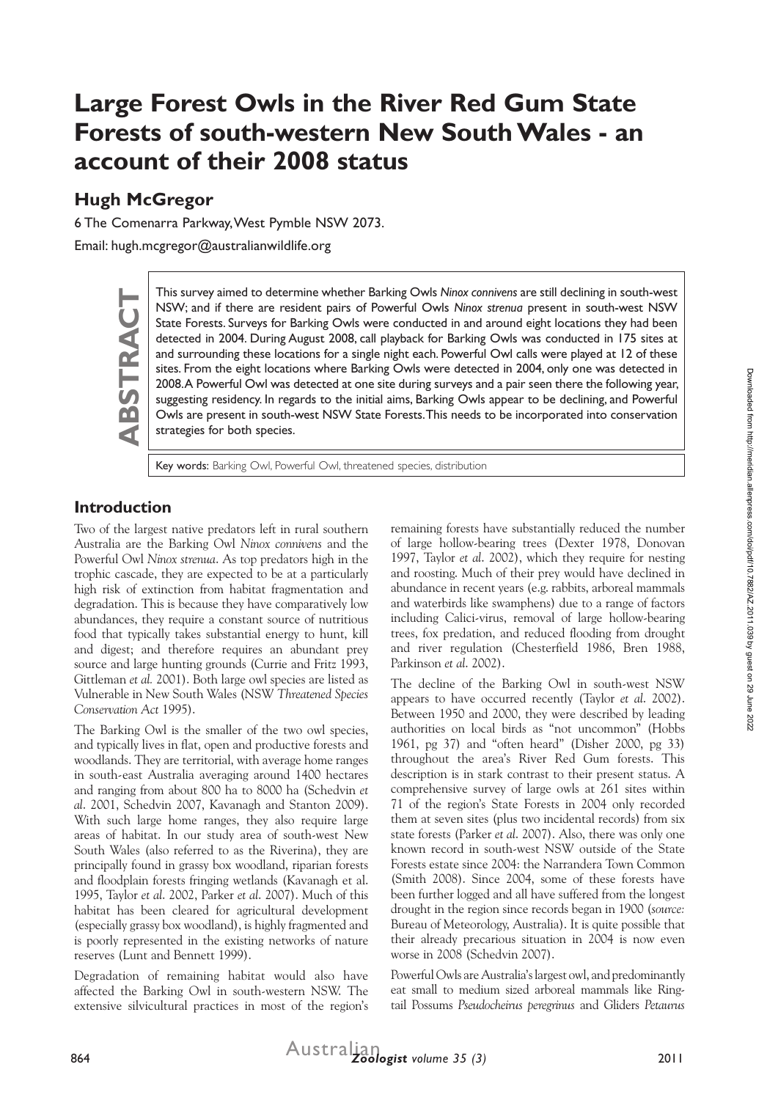# **Large Forest Owls in the River Red Gum State Forests of south-western New South Wales - an account of their 2008 status**

# **Hugh McGregor**

6 The Comenarra Parkway, West Pymble NSW 2073.

Email: hugh.mcgregor@australianwildlife.org

This survey aimed to determine whether Barking Owls *Ninox connivens* are still declining in south-west<br>
NSW; and if there are resident pairs of Powerful Owls *Ninox strenua* present in south-west NSW<br>
State Forests. Surve NSW; and if there are resident pairs of Powerful Owls *Ninox strenua* present in south-west NSW State Forests. Surveys for Barking Owls were conducted in and around eight locations they had been detected in 2004. During August 2008, call playback for Barking Owls was conducted in 175 sites at and surrounding these locations for a single night each. Powerful Owl calls were played at 12 of these sites. From the eight locations where Barking Owls were detected in 2004, only one was detected in 2008. A Powerful Owl was detected at one site during surveys and a pair seen there the following year, suggesting residency. In regards to the initial aims, Barking Owls appear to be declining, and Powerful Owls are present in south-west NSW State Forests. This needs to be incorporated into conservation strategies for both species.

Key words: Barking Owl, Powerful Owl, threatened species, distribution

# **Introduction**

Two of the largest native predators left in rural southern Australia are the Barking Owl *Ninox connivens* and the Powerful Owl *Ninox strenua*. As top predators high in the trophic cascade, they are expected to be at a particularly high risk of extinction from habitat fragmentation and degradation. This is because they have comparatively low abundances, they require a constant source of nutritious food that typically takes substantial energy to hunt, kill and digest; and therefore requires an abundant prey source and large hunting grounds (Currie and Fritz 1993, Gittleman *et al.* 2001). Both large owl species are listed as Vulnerable in New South Wales (NSW *Threatened Species Conservation Act* 1995).

The Barking Owl is the smaller of the two owl species, and typically lives in flat, open and productive forests and woodlands. They are territorial, with average home ranges in south-east Australia averaging around 1400 hectares and ranging from about 800 ha to 8000 ha (Schedvin *et al*. 2001, Schedvin 2007, Kavanagh and Stanton 2009). With such large home ranges, they also require large areas of habitat. In our study area of south-west New South Wales (also referred to as the Riverina), they are principally found in grassy box woodland, riparian forests and floodplain forests fringing wetlands (Kavanagh et al. 1995, Taylor *et al*. 2002, Parker *et al*. 2007). Much of this habitat has been cleared for agricultural development (especially grassy box woodland), is highly fragmented and is poorly represented in the existing networks of nature reserves (Lunt and Bennett 1999).

Degradation of remaining habitat would also have affected the Barking Owl in south-western NSW. The extensive silvicultural practices in most of the region's remaining forests have substantially reduced the number of large hollow-bearing trees (Dexter 1978, Donovan 1997, Taylor *et al*. 2002), which they require for nesting and roosting. Much of their prey would have declined in abundance in recent years (e.g. rabbits, arboreal mammals and waterbirds like swamphens) due to a range of factors including Calici-virus, removal of large hollow-bearing trees, fox predation, and reduced flooding from drought and river regulation (Chesterfield 1986, Bren 1988, Parkinson *et al*. 2002).

The decline of the Barking Owl in south-west NSW appears to have occurred recently (Taylor *et al*. 2002). Between 1950 and 2000, they were described by leading authorities on local birds as "not uncommon" (Hobbs 1961, pg 37) and "often heard" (Disher 2000, pg 33) throughout the area's River Red Gum forests. This description is in stark contrast to their present status. A comprehensive survey of large owls at 261 sites within 71 of the region's State Forests in 2004 only recorded them at seven sites (plus two incidental records) from six state forests (Parker *et al*. 2007). Also, there was only one known record in south-west NSW outside of the State Forests estate since 2004: the Narrandera Town Common (Smith 2008). Since 2004, some of these forests have been further logged and all have suffered from the longest drought in the region since records began in 1900 (*source:* Bureau of Meteorology, Australia). It is quite possible that their already precarious situation in 2004 is now even worse in 2008 (Schedvin 2007).

Powerful Owls are Australia's largest owl, and predominantly eat small to medium sized arboreal mammals like Ringtail Possums *Pseudocheirus peregrinus* and Gliders *Petaurus*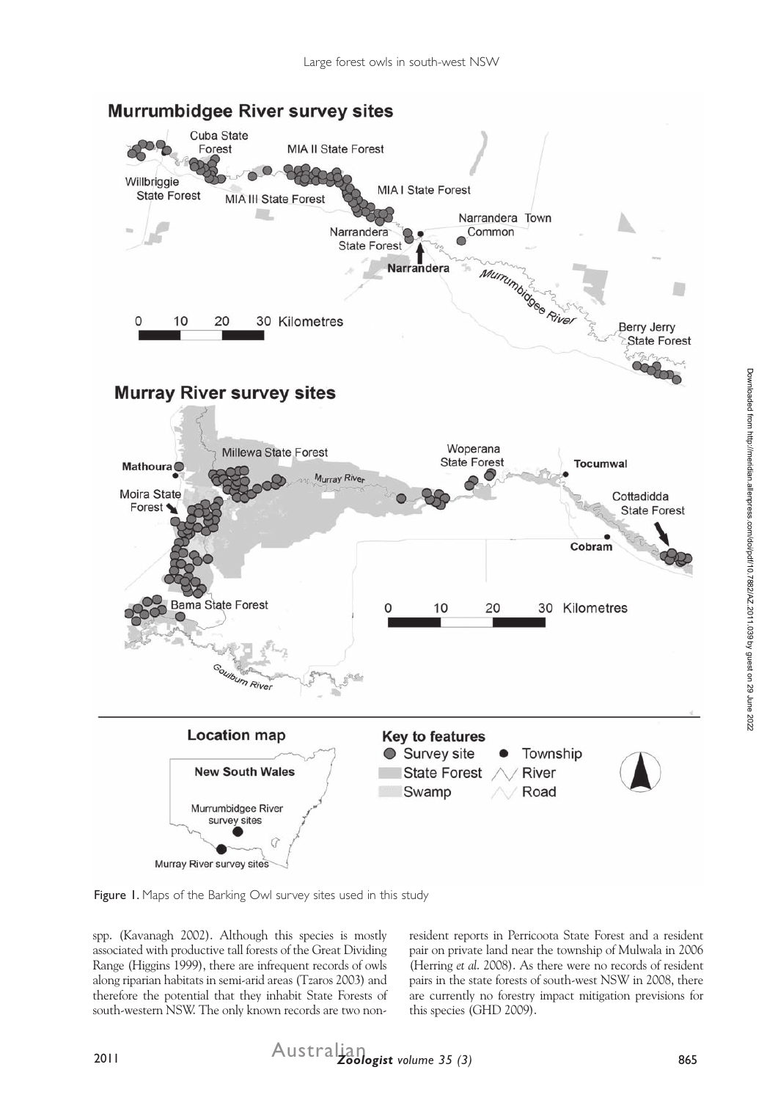

Figure 1. Maps of the Barking Owl survey sites used in this study

spp. (Kavanagh 2002). Although this species is mostly associated with productive tall forests of the Great Dividing Range (Higgins 1999), there are infrequent records of owls along riparian habitats in semi-arid areas (Tzaros 2003) and therefore the potential that they inhabit State Forests of south-western NSW. The only known records are two nonresident reports in Perricoota State Forest and a resident pair on private land near the township of Mulwala in 2006 (Herring *et al*. 2008). As there were no records of resident pairs in the state forests of south-west NSW in 2008, there are currently no forestry impact mitigation previsions for this species (GHD 2009).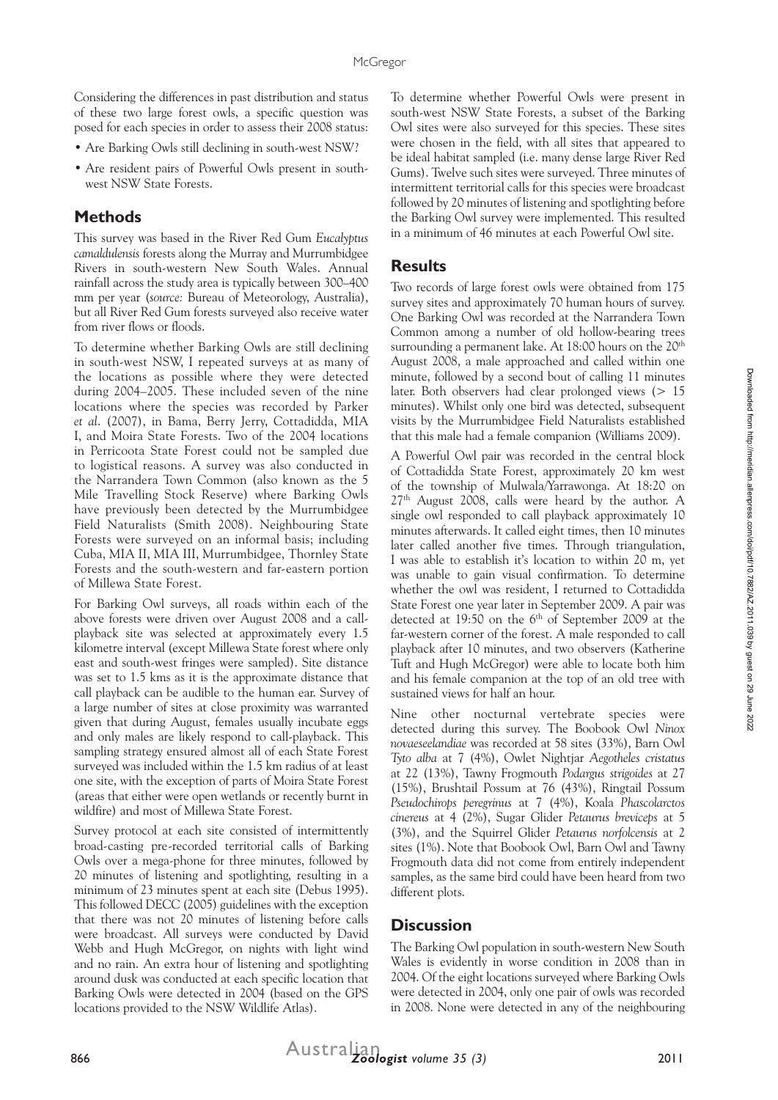Considering the differences in past distribution and status of these two large forest owls, a specific question was posed for each species in order to assess their 2008 status:

- Are Barking Owls still declining in south-west NSW?
- Are resident pairs of Powerful Owls present in southwest NSW State Forests.

#### **Methods**

This survey was based in the River Red Gum *Eucalyptus camaldulensis* forests along the Murray and Murrumbidgee Rivers in south-western New South Wales. Annual rainfall across the study area is typically between 300–400 mm per year (*source:* Bureau of Meteorology, Australia), but all River Red Gum forests surveyed also receive water from river flows or floods.

To determine whether Barking Owls are still declining in south-west NSW, I repeated surveys at as many of the locations as possible where they were detected during 2004–2005. These included seven of the nine locations where the species was recorded by Parker *et al*. (2007), in Bama, Berry Jerry, Cottadidda, MIA I, and Moira State Forests. Two of the 2004 locations in Perricoota State Forest could not be sampled due to logistical reasons. A survey was also conducted in the Narrandera Town Common (also known as the 5 Mile Travelling Stock Reserve) where Barking Owls have previously been detected by the Murrumbidgee Field Naturalists (Smith 2008). Neighbouring State Forests were surveyed on an informal basis; including Cuba, MIA II, MIA III, Murrumbidgee, Thornley State Forests and the south-western and far-eastern portion of Millewa State Forest.

For Barking Owl surveys, all roads within each of the above forests were driven over August 2008 and a callplayback site was selected at approximately every 1.5 kilometre interval (except Millewa State forest where only east and south-west fringes were sampled). Site distance was set to 1.5 kms as it is the approximate distance that call playback can be audible to the human ear. Survey of a large number of sites at close proximity was warranted given that during August, females usually incubate eggs and only males are likely respond to call-playback. This sampling strategy ensured almost all of each State Forest surveyed was included within the 1.5 km radius of at least one site, with the exception of parts of Moira State Forest (areas that either were open wetlands or recently burnt in wildfire) and most of Millewa State Forest.

Survey protocol at each site consisted of intermittently broad-casting pre-recorded territorial calls of Barking Owls over a mega-phone for three minutes, followed by 20 minutes of listening and spotlighting, resulting in a minimum of 23 minutes spent at each site (Debus 1995). This followed DECC (2005) guidelines with the exception that there was not 20 minutes of listening before calls were broadcast. All surveys were conducted by David Webb and Hugh McGregor, on nights with light wind and no rain. An extra hour of listening and spotlighting around dusk was conducted at each specific location that Barking Owls were detected in 2004 (based on the GPS locations provided to the NSW Wildlife Atlas).

To determine whether Powerful Owls were present in south-west NSW State Forests, a subset of the Barking Owl sites were also surveyed for this species. These sites were chosen in the field, with all sites that appeared to be ideal habitat sampled (i.e. many dense large River Red Gums). Twelve such sites were surveyed. Three minutes of intermittent territorial calls for this species were broadcast followed by 20 minutes of listening and spotlighting before the Barking Owl survey were implemented. This resulted in a minimum of 46 minutes at each Powerful Owl site.

#### **Results**

Two records of large forest owls were obtained from 175 survey sites and approximately 70 human hours of survey. One Barking Owl was recorded at the Narrandera Town Common among a number of old hollow-bearing trees surrounding a permanent lake. At 18:00 hours on the  $20<sup>th</sup>$ August 2008, a male approached and called within one minute, followed by a second bout of calling 11 minutes later. Both observers had clear prolonged views (> 15 minutes). Whilst only one bird was detected, subsequent visits by the Murrumbidgee Field Naturalists established that this male had a female companion (Williams 2009).

A Powerful Owl pair was recorded in the central block of Cottadidda State Forest, approximately 20 km west of the township of Mulwala/Yarrawonga. At 18:20 on 27th August 2008, calls were heard by the author. A single owl responded to call playback approximately 10 minutes afterwards. It called eight times, then 10 minutes later called another five times. Through triangulation, I was able to establish it's location to within 20 m, yet was unable to gain visual confirmation. To determine whether the owl was resident, I returned to Cottadidda State Forest one year later in September 2009. A pair was detected at 19:50 on the  $6<sup>th</sup>$  of September 2009 at the far-western corner of the forest. A male responded to call playback after 10 minutes, and two observers (Katherine Tuft and Hugh McGregor) were able to locate both him and his female companion at the top of an old tree with sustained views for half an hour.

Nine other nocturnal vertebrate species were detected during this survey. The Boobook Owl *Ninox novaeseelandiae* was recorded at 58 sites (33%), Barn Owl *Tyto alba* at 7 (4%), Owlet Nightjar *Aegotheles cristatus* at 22 (13%), Tawny Frogmouth *Podargus strigoides* at 27 (15%), Brushtail Possum at 76 (43%), Ringtail Possum *Pseudochirops peregrinus* at 7 (4%), Koala *Phascolarctos cinereus* at 4 (2%), Sugar Glider *Petaurus breviceps* at 5 (3%), and the Squirrel Glider *Petaurus norfolcensis* at 2 sites (1%). Note that Boobook Owl, Barn Owl and Tawny Frogmouth data did not come from entirely independent samples, as the same bird could have been heard from two different plots.

#### **Discussion**

The Barking Owl population in south-western New South Wales is evidently in worse condition in 2008 than in 2004. Of the eight locations surveyed where Barking Owls were detected in 2004, only one pair of owls was recorded in 2008. None were detected in any of the neighbouring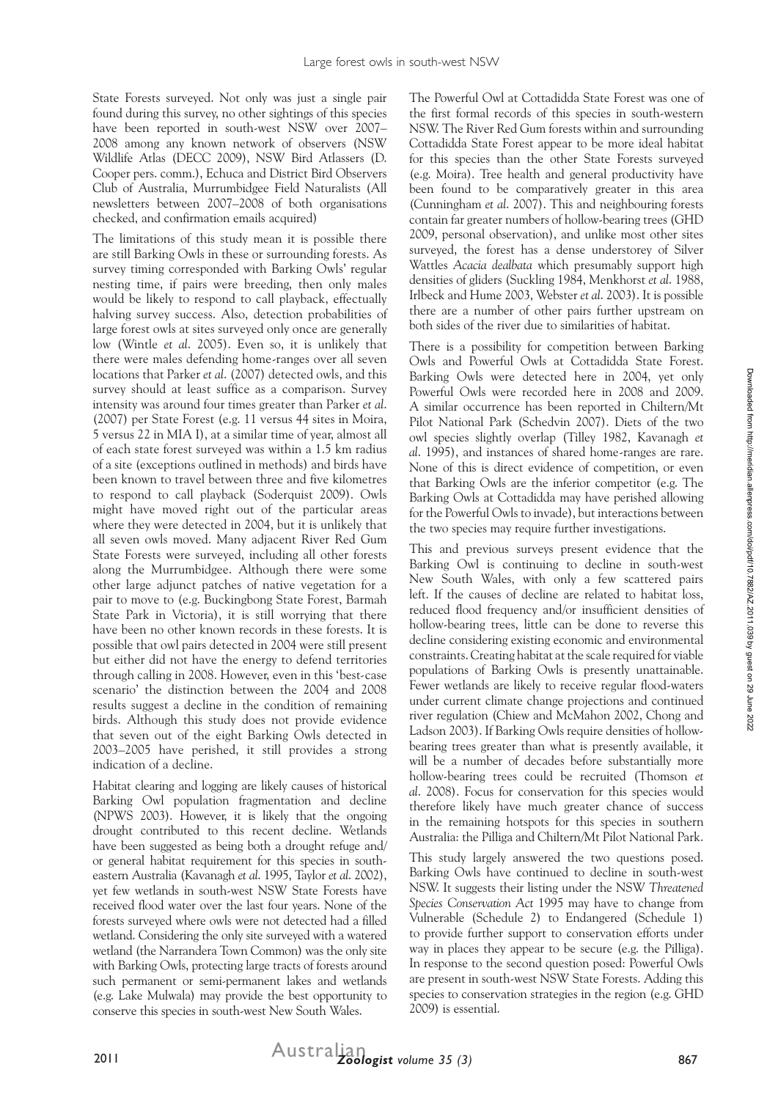State Forests surveyed. Not only was just a single pair found during this survey, no other sightings of this species have been reported in south-west NSW over 2007– 2008 among any known network of observers (NSW Wildlife Atlas (DECC 2009), NSW Bird Atlassers (D. Cooper pers. comm.), Echuca and District Bird Observers Club of Australia, Murrumbidgee Field Naturalists (All newsletters between 2007–2008 of both organisations checked, and confirmation emails acquired)

The limitations of this study mean it is possible there are still Barking Owls in these or surrounding forests. As survey timing corresponded with Barking Owls' regular nesting time, if pairs were breeding, then only males would be likely to respond to call playback, effectually halving survey success. Also, detection probabilities of large forest owls at sites surveyed only once are generally low (Wintle *et al*. 2005). Even so, it is unlikely that there were males defending home-ranges over all seven locations that Parker *et al*. (2007) detected owls, and this survey should at least suffice as a comparison. Survey intensity was around four times greater than Parker *et al*. (2007) per State Forest (e.g. 11 versus 44 sites in Moira, 5 versus 22 in MIA I), at a similar time of year, almost all of each state forest surveyed was within a 1.5 km radius of a site (exceptions outlined in methods) and birds have been known to travel between three and five kilometres to respond to call playback (Soderquist 2009). Owls might have moved right out of the particular areas where they were detected in 2004, but it is unlikely that all seven owls moved. Many adjacent River Red Gum State Forests were surveyed, including all other forests along the Murrumbidgee. Although there were some other large adjunct patches of native vegetation for a pair to move to (e.g. Buckingbong State Forest, Barmah State Park in Victoria), it is still worrying that there have been no other known records in these forests. It is possible that owl pairs detected in 2004 were still present but either did not have the energy to defend territories through calling in 2008. However, even in this 'best-case scenario' the distinction between the 2004 and 2008 results suggest a decline in the condition of remaining birds. Although this study does not provide evidence that seven out of the eight Barking Owls detected in 2003–2005 have perished, it still provides a strong indication of a decline.

Habitat clearing and logging are likely causes of historical Barking Owl population fragmentation and decline (NPWS 2003). However, it is likely that the ongoing drought contributed to this recent decline. Wetlands have been suggested as being both a drought refuge and/ or general habitat requirement for this species in southeastern Australia (Kavanagh *et al*. 1995, Taylor *et al*. 2002), yet few wetlands in south-west NSW State Forests have received flood water over the last four years. None of the forests surveyed where owls were not detected had a filled wetland. Considering the only site surveyed with a watered wetland (the Narrandera Town Common) was the only site with Barking Owls, protecting large tracts of forests around such permanent or semi-permanent lakes and wetlands (e.g. Lake Mulwala) may provide the best opportunity to conserve this species in south-west New South Wales.

The Powerful Owl at Cottadidda State Forest was one of the first formal records of this species in south-western NSW. The River Red Gum forests within and surrounding Cottadidda State Forest appear to be more ideal habitat for this species than the other State Forests surveyed (e.g. Moira). Tree health and general productivity have been found to be comparatively greater in this area (Cunningham *et al*. 2007). This and neighbouring forests contain far greater numbers of hollow-bearing trees (GHD 2009, personal observation), and unlike most other sites surveyed, the forest has a dense understorey of Silver Wattles *Acacia dealbata* which presumably support high densities of gliders (Suckling 1984, Menkhorst *et al*. 1988, Irlbeck and Hume 2003, Webster *et al*. 2003). It is possible there are a number of other pairs further upstream on both sides of the river due to similarities of habitat.

There is a possibility for competition between Barking Owls and Powerful Owls at Cottadidda State Forest. Barking Owls were detected here in 2004, yet only Powerful Owls were recorded here in 2008 and 2009. A similar occurrence has been reported in Chiltern/Mt Pilot National Park (Schedvin 2007). Diets of the two owl species slightly overlap (Tilley 1982, Kavanagh *et al*. 1995), and instances of shared home-ranges are rare. None of this is direct evidence of competition, or even that Barking Owls are the inferior competitor (e.g. The Barking Owls at Cottadidda may have perished allowing for the Powerful Owls to invade), but interactions between the two species may require further investigations.

This and previous surveys present evidence that the Barking Owl is continuing to decline in south-west New South Wales, with only a few scattered pairs left. If the causes of decline are related to habitat loss, reduced flood frequency and/or insufficient densities of hollow-bearing trees, little can be done to reverse this decline considering existing economic and environmental constraints. Creating habitat at the scale required for viable populations of Barking Owls is presently unattainable. Fewer wetlands are likely to receive regular flood-waters under current climate change projections and continued river regulation (Chiew and McMahon 2002, Chong and Ladson 2003). If Barking Owls require densities of hollowbearing trees greater than what is presently available, it will be a number of decades before substantially more hollow-bearing trees could be recruited (Thomson *et al*. 2008). Focus for conservation for this species would therefore likely have much greater chance of success in the remaining hotspots for this species in southern Australia: the Pilliga and Chiltern/Mt Pilot National Park.

This study largely answered the two questions posed. Barking Owls have continued to decline in south-west NSW. It suggests their listing under the NSW *Threatened Species Conservation Act* 1995 may have to change from Vulnerable (Schedule 2) to Endangered (Schedule 1) to provide further support to conservation efforts under way in places they appear to be secure (e.g. the Pilliga). In response to the second question posed: Powerful Owls are present in south-west NSW State Forests. Adding this species to conservation strategies in the region (e.g. GHD 2009) is essential.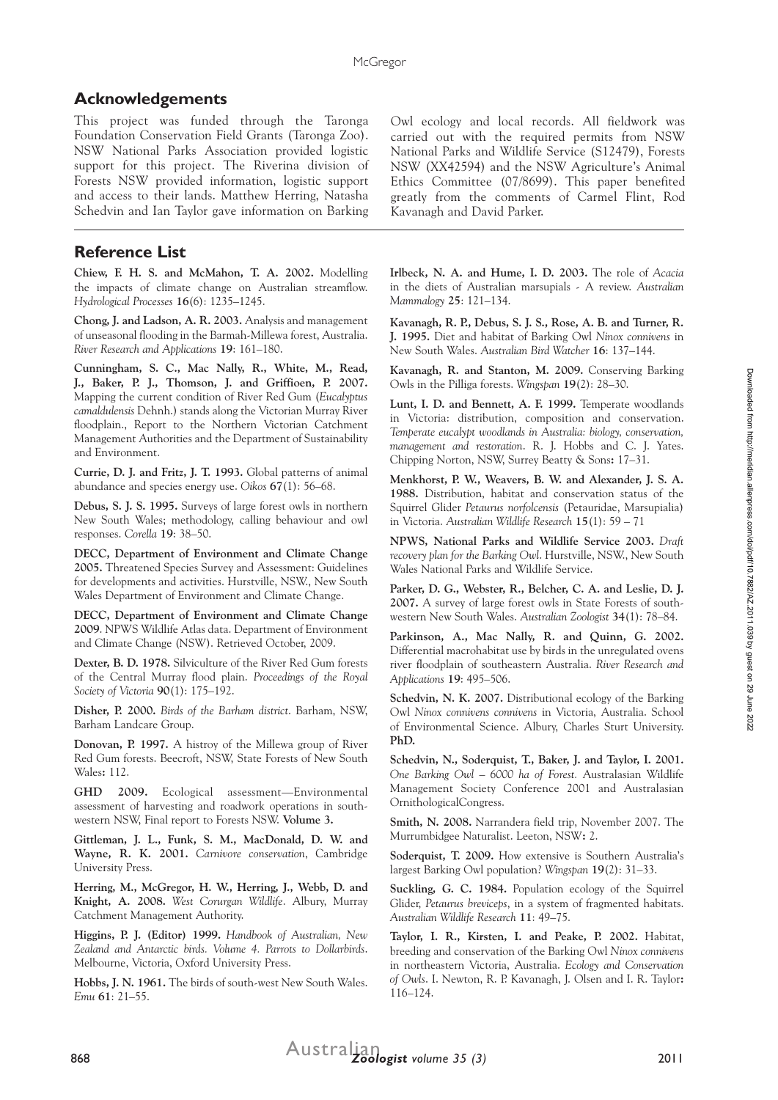## **Acknowledgements**

This project was funded through the Taronga Foundation Conservation Field Grants (Taronga Zoo). NSW National Parks Association provided logistic support for this project. The Riverina division of Forests NSW provided information, logistic support and access to their lands. Matthew Herring, Natasha Schedvin and Ian Taylor gave information on Barking

## **Reference List**

**Chiew, F. H. S. and McMahon, T. A. 2002.** Modelling the impacts of climate change on Australian streamflow. *Hydrological Processes* **16**(6): 1235–1245.

**Chong, J. and Ladson, A. R. 2003.** Analysis and management of unseasonal flooding in the Barmah-Millewa forest, Australia. *River Research and Applications* **19**: 161–180.

**Cunningham, S. C., Mac Nally, R., White, M., Read, J., Baker, P. J., Thomson, J. and Griffioen, P. 2007.** Mapping the current condition of River Red Gum (*Eucalyptus camaldulensis* Dehnh.) stands along the Victorian Murray River floodplain., Report to the Northern Victorian Catchment Management Authorities and the Department of Sustainability and Environment.

**Currie, D. J. and Fritz, J. T. 1993.** Global patterns of animal abundance and species energy use. *Oikos* **67**(1): 56–68.

**Debus, S. J. S. 1995.** Surveys of large forest owls in northern New South Wales; methodology, calling behaviour and owl responses. *Corella* **19**: 38–50.

**DECC, Department of Environment and Climate Change 2005.** Threatened Species Survey and Assessment: Guidelines for developments and activities. Hurstville, NSW., New South Wales Department of Environment and Climate Change.

**DECC, Department of Environment and Climate Change 2009**. NPWS Wildlife Atlas data. Department of Environment and Climate Change (NSW). Retrieved October, 2009.

**Dexter, B. D. 1978.** Silviculture of the River Red Gum forests of the Central Murray flood plain. *Proceedings of the Royal Society of Victoria* **90**(1): 175–192.

**Disher, P. 2000.** *Birds of the Barham district*. Barham, NSW, Barham Landcare Group.

**Donovan, P. 1997.** A histroy of the Millewa group of River Red Gum forests. Beecroft, NSW, State Forests of New South Wales**:** 112.

**GHD 2009.** Ecological assessment—Environmental assessment of harvesting and roadwork operations in southwestern NSW, Final report to Forests NSW. **Volume 3.**

**Gittleman, J. L., Funk, S. M., MacDonald, D. W. and Wayne, R. K. 2001.** *Carnivore conservation*, Cambridge University Press.

**Herring, M., McGregor, H. W., Herring, J., Webb, D. and Knight, A. 2008.** *West Corurgan Wildlife*. Albury, Murray Catchment Management Authority.

**Higgins, P. J. (Editor) 1999.** *Handbook of Australian, New Zealand and Antarctic birds. Volume 4. Parrots to Dollarbirds*. Melbourne, Victoria, Oxford University Press.

**Hobbs, J. N. 1961.** The birds of south-west New South Wales. *Emu* **61**: 21–55.

Owl ecology and local records. All fieldwork was carried out with the required permits from NSW National Parks and Wildlife Service (S12479), Forests NSW (XX42594) and the NSW Agriculture's Animal Ethics Committee (07/8699). This paper benefited greatly from the comments of Carmel Flint, Rod Kavanagh and David Parker.

**Irlbeck, N. A. and Hume, I. D. 2003.** The role of *Acacia*  in the diets of Australian marsupials - A review. *Australian Mammalogy* **25**: 121–134.

**Kavanagh, R. P., Debus, S. J. S., Rose, A. B. and Turner, R. J. 1995.** Diet and habitat of Barking Owl *Ninox connivens* in New South Wales. *Australian Bird Watcher* **16**: 137–144.

**Kavanagh, R. and Stanton, M. 2009.** Conserving Barking Owls in the Pilliga forests. *Wingspan* **19**(2): 28–30.

**Lunt, I. D. and Bennett, A. F. 1999.** Temperate woodlands in Victoria: distribution, composition and conservation. *Temperate eucalypt woodlands in Australia: biology, conservation, management and restoration*. R. J. Hobbs and C. J. Yates. Chipping Norton, NSW, Surrey Beatty & Sons**:** 17–31.

**Menkhorst, P. W., Weavers, B. W. and Alexander, J. S. A. 1988.** Distribution, habitat and conservation status of the Squirrel Glider *Petaurus norfolcensis* (Petauridae, Marsupialia) in Victoria. *Australian Wildlife Research* **15**(1): 59 – 71

**NPWS, National Parks and Wildlife Service 2003.** *Draft recovery plan for the Barking Owl*. Hurstville, NSW., New South Wales National Parks and Wildlife Service.

**Parker, D. G., Webster, R., Belcher, C. A. and Leslie, D. J. 2007.** A survey of large forest owls in State Forests of southwestern New South Wales. *Australian Zoologist* **34**(1): 78–84.

**Parkinson, A., Mac Nally, R. and Quinn, G. 2002.** Differential macrohabitat use by birds in the unregulated ovens river floodplain of southeastern Australia. *River Research and Applications* **19**: 495–506.

**Schedvin, N. K. 2007.** Distributional ecology of the Barking Owl *Ninox connivens connivens* in Victoria, Australia. School of Environmental Science. Albury, Charles Sturt University. **PhD.**

**Schedvin, N., Soderquist, T., Baker, J. and Taylor, I. 2001.** *One Barking Owl – 6000 ha of Forest.* Australasian Wildlife Management Society Conference 2001 and Australasian OrnithologicalCongress.

**Smith, N. 2008.** Narrandera field trip, November 2007. The Murrumbidgee Naturalist. Leeton, NSW**:** 2.

**Soderquist, T. 2009.** How extensive is Southern Australia's largest Barking Owl population? *Wingspan* **19**(2): 31–33.

**Suckling, G. C. 1984.** Population ecology of the Squirrel Glider, *Petaurus breviceps*, in a system of fragmented habitats. *Australian Wildlife Research* **11**: 49–75.

**Taylor, I. R., Kirsten, I. and Peake, P. 2002.** Habitat, breeding and conservation of the Barking Owl *Ninox connivens*  in northeastern Victoria, Australia. *Ecology and Conservation of Owls*. I. Newton, R. P. Kavanagh, J. Olsen and I. R. Taylor**:**  116–124.